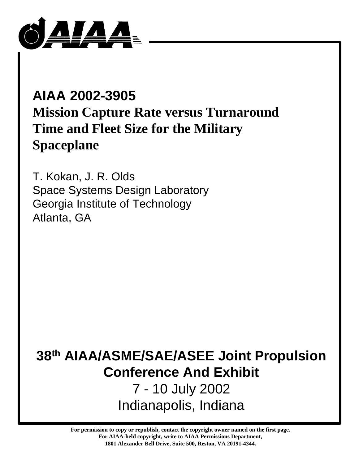

# **AIAA 2002-3905 Mission Capture Rate versus Turnaround Time and Fleet Size for the Military Spaceplane**

T. Kokan, J. R. Olds Space Systems Design Laboratory Georgia Institute of Technology Atlanta, GA

# **38th AIAA/ASME/SAE/ASEE Joint Propulsion Conference And Exhibit**

7 - 10 July 2002 Indianapolis, Indiana

**For permission to copy or republish, contact the copyright owner named on the first page. For AIAA-held copyright, write to AIAA Permissions Department, 1801 Alexander Bell Drive, Suite 500, Reston, VA 20191-4344.**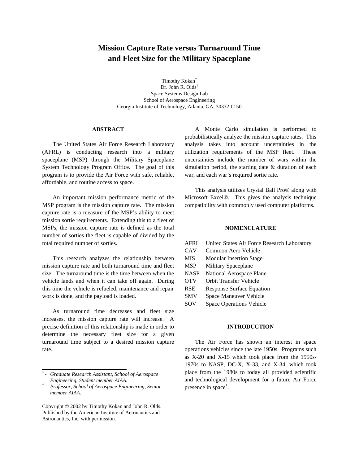# **Mission Capture Rate versus Turnaround Time and Fleet Size for the Military Spaceplane**

Timothy Kokan\* Dr. John R. Olds† Space Systems Design Lab School of Aerospace Engineering Georgia Institute of Technology, Atlanta, GA, 30332-0150

## **ABSTRACT**

The United States Air Force Research Laboratory (AFRL) is conducting research into a military spaceplane (MSP) through the Military Spaceplane System Technology Program Office. The goal of this program is to provide the Air Force with safe, reliable, affordable, and routine access to space.

An important mission performance metric of the MSP program is the mission capture rate. The mission capture rate is a measure of the MSP's ability to meet mission sortie requirements. Extending this to a fleet of MSPs, the mission capture rate is defined as the total number of sorties the fleet is capable of divided by the total required number of sorties.

This research analyzes the relationship between mission capture rate and both turnaround time and fleet size. The turnaround time is the time between when the vehicle lands and when it can take off again. During this time the vehicle is refueled, maintenance and repair work is done, and the payload is loaded.

As turnaround time decreases and fleet size increases, the mission capture rate will increase. A precise definition of this relationship is made in order to determine the necessary fleet size for a given turnaround time subject to a desired mission capture rate.

Copyright © 2002 by Timothy Kokan and John R. Olds. Published by the American Institute of Aeronautics and Astronautics, Inc. with permission.

A Monte Carlo simulation is performed to probabilistically analyze the mission capture rates. This analysis takes into account uncertainties in the utilization requirements of the MSP fleet. These uncertainties include the number of wars within the simulation period, the starting date & duration of each war, and each war's required sortie rate.

This analysis utilizes Crystal Ball Pro® along with Microsoft Excel®. This gives the analysis technique compatibility with commonly used computer platforms.

#### **NOMENCLATURE**

| AFRL        | United States Air Force Research Laboratory |
|-------------|---------------------------------------------|
| CAV         | Common Aero Vehicle                         |
| <b>MIS</b>  | <b>Modular Insertion Stage</b>              |
| <b>MSP</b>  | Military Spaceplane                         |
| <b>NASP</b> | National Aerospace Plane                    |
| <b>OTV</b>  | Orbit Transfer Vehicle                      |
| <b>RSE</b>  | <b>Response Surface Equation</b>            |
| <b>SMV</b>  | Space Maneuver Vehicle                      |
| SOV         | Space Operations Vehicle                    |
|             |                                             |

#### **INTRODUCTION**

The Air Force has shown an interest in space operations vehicles since the late 1950s. Programs such as X-20 and X-15 which took place from the 1950s-1970s to NASP, DC-X, X-33, and X-34, which took place from the 1980s to today all provided scientific and technological development for a future Air Force presence in space<sup>1</sup>.

*<sup>\*</sup>  - Graduate Research Assistant, School of Aerospace Engineering, Student member AIAA.*

*<sup>†</sup> - Professor, School of Aerospace Engineering, Senior member AIAA.*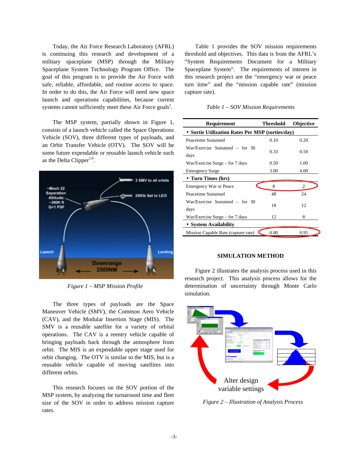Today, the Air Force Research Laboratory (AFRL) is continuing this research and development of a military spaceplane (MSP) through the Military Spaceplane System Technology Program Office. The goal of this program is to provide the Air Force with safe, reliable, affordable, and routine access to space. In order to do this, the Air Force will need new space launch and operations capabilities, because current systems cannot sufficiently meet these Air Force goals<sup>1</sup>.

The MSP system, partially shown in Figure 1, consists of a launch vehicle called the Space Operations Vehicle (SOV), three different types of payloads, and an Orbit Transfer Vehicle (OTV). The SOV will be some future expendable or reusable launch vehicle such as the Delta Clipper<sup>1,6</sup>.



*Figure 1 – MSP Mission Profile*

The three types of payloads are the Space Maneuver Vehicle (SMV), the Common Aero Vehicle (CAV), and the Modular Insertion Stage (MIS). The SMV is a reusable satellite for a variety of orbital operations. The CAV is a reentry vehicle capable of bringing payloads back through the atmosphere from orbit. The MIS is an expendable upper stage used for orbit changing. The OTV is similar to the MIS, but is a reusable vehicle capable of moving satellites into different orbits.

This research focuses on the SOV portion of the MSP system, by analyzing the turnaround time and fleet size of the SOV in order to address mission capture rates.

Table 1 provides the SOV mission requirements threshold and objectives. This data is from the AFRL's "System Requirements Document for a Military Spaceplane System". The requirements of interest in this research project are the "emergency war or peace turn time" and the "mission capable rate" (mission capture rate).

*Table 1 – SOV Mission Requirements*

| Requirement                                      | <b>Threshold</b> | <b>Objective</b> |  |  |  |  |
|--------------------------------------------------|------------------|------------------|--|--|--|--|
| • Sortie Utilization Rates Per MSP (sorties/day) |                  |                  |  |  |  |  |
| Peacetime Sustained                              | 0.10             | 0.20             |  |  |  |  |
| War/Exercise Sustained – for 30<br>days          | 0.33             | 0.50             |  |  |  |  |
| War/Exercise Surge – for 7 days                  | 0.50             | 1.00             |  |  |  |  |
| <b>Emergency Surge</b>                           | 3.00             | 4.00             |  |  |  |  |
| • Turn Times (hrs)                               |                  |                  |  |  |  |  |
| Emergency War or Peace                           | 8                | 2                |  |  |  |  |
| Peacetime Sustained                              | 48               | 24               |  |  |  |  |
| War/Exercise Sustained - for 30<br>days          | 18               | 12               |  |  |  |  |
| $War/Exercise \, Surgery - for 7 \, days$        | 12               | 8                |  |  |  |  |
| • System Availability                            |                  |                  |  |  |  |  |
| Mission Capable Rate (capture rate)              | 0.80             | 0.95             |  |  |  |  |

### **SIMULATION METHOD**

Figure 2 illustrates the analysis process used in this research project. This analysis process allows for the determination of uncertainty through Monte Carlo simulation.



*Figure 2 – Illustration of Analysis Process*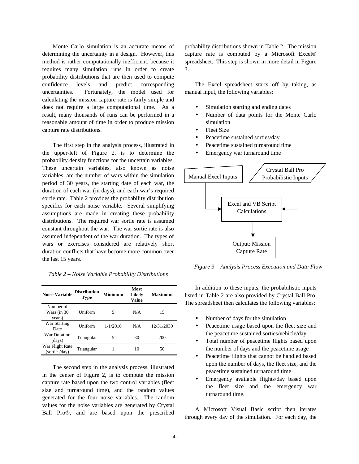Monte Carlo simulation is an accurate means of determining the uncertainty in a design. However, this method is rather computationally inefficient, because it requires many simulation runs in order to create probability distributions that are then used to compute confidence levels and predict corresponding uncertainties. Fortunately, the model used for calculating the mission capture rate is fairly simple and does not require a large computational time. As a result, many thousands of runs can be performed in a reasonable amount of time in order to produce mission capture rate distributions.

The first step in the analysis process, illustrated in the upper-left of Figure 2, is to determine the probability density functions for the uncertain variables. These uncertain variables, also known as noise variables, are the number of wars within the simulation period of 30 years, the starting date of each war, the duration of each war (in days), and each war's required sortie rate. Table 2 provides the probability distribution specifics for each noise variable. Several simplifying assumptions are made in creating these probability distributions. The required war sortie rate is assumed constant throughout the war. The war sortie rate is also assumed independent of the war duration. The types of wars or exercises considered are relatively short duration conflicts that have become more common over the last 15 years.

*Table 2 – Noise Variable Probability Distributions*

| <b>Noise Variable</b>              | <b>Distribution</b><br>Type | Minimum  | Most<br>Likely<br>Value | <b>Maximum</b> |
|------------------------------------|-----------------------------|----------|-------------------------|----------------|
| Number of<br>Wars (in 30<br>years) | <b>Uniform</b>              | 5        | N/A                     | 15             |
| War Starting<br>Date               | Uniform                     | 1/1/2010 | N/A                     | 12/31/2039     |
| War Duration<br>(days)             | Triangular                  | 5        | 30                      | 200            |
| War Flight Rate<br>(sorties/day)   | Triangular                  |          | 10                      | 50             |

The second step in the analysis process, illustrated in the center of Figure 2, is to compute the mission capture rate based upon the two control variables (fleet size and turnaround time), and the random values generated for the four noise variables. The random values for the noise variables are generated by Crystal Ball Pro®, and are based upon the prescribed

probability distributions shown in Table 2. The mission capture rate is computed by a Microsoft Excel® spreadsheet. This step is shown in more detail in Figure 3.

The Excel spreadsheet starts off by taking, as manual input, the following variables:

- Simulation starting and ending dates
- Number of data points for the Monte Carlo simulation
- **Fleet Size**
- Peacetime sustained sorties/day
- Peacetime sustained turnaround time
- Emergency war turnaround time



*Figure 3 – Analysis Process Execution and Data Flow*

In addition to these inputs, the probabilistic inputs listed in Table 2 are also provided by Crystal Ball Pro. The spreadsheet then calculates the following variables:

- Number of days for the simulation
- Peacetime usage based upon the fleet size and the peacetime sustained sorties/vehicle/day
- Total number of peacetime flights based upon the number of days and the peacetime usage
- Peacetime flights that cannot be handled based upon the number of days, the fleet size, and the peacetime sustained turnaround time
- Emergency available flights/day based upon the fleet size and the emergency war turnaround time.

A Microsoft Visual Basic script then iterates through every day of the simulation. For each day, the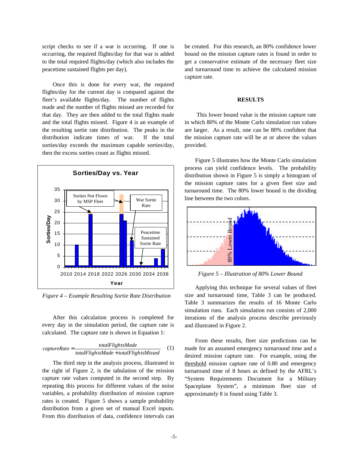script checks to see if a war is occurring. If one is occurring, the required flights/day for that war is added to the total required flights/day (which also includes the peacetime sustained flights per day).

Once this is done for every war, the required flights/day for the current day is compared against the fleet's available flights/day. The number of flights made and the number of flights missed are recorded for that day. They are then added to the total flights made and the total flights missed. Figure 4 is an example of the resulting sortie rate distribution. The peaks in the distribution indicate times of war. If the total sorties/day exceeds the maximum capable sorties/day, then the excess sorties count as flights missed.



*Figure 4 – Example Resulting Sortie Rate Distribution*

After this calculation process is completed for every day in the simulation period, the capture rate is calculated. The capture rate is shown in Equation 1:

$$
capture Rate = \frac{totalFlights Made}{totalFlights Made + totalFlightsMissed}
$$
 (1)

The third step in the analysis process, illustrated in the right of Figure 2, is the tabulation of the mission capture rate values computed in the second step. By repeating this process for different values of the noise variables, a probability distribution of mission capture rates is created. Figure 5 shows a sample probability distribution from a given set of manual Excel inputs. From this distribution of data, confidence intervals can

be created. For this research, an 80% confidence lower bound on the mission capture rates is found in order to get a conservative estimate of the necessary fleet size and turnaround time to achieve the calculated mission capture rate.

#### **RESULTS**

This lower bound value is the mission capture rate in which 80% of the Monte Carlo simulation run values are larger. As a result, one can be 80% confident that the mission capture rate will be at or above the values provided.

Figure 5 illustrates how the Monte Carlo simulation process can yield confidence levels. The probability distribution shown in Figure 5 is simply a histogram of the mission capture rates for a given fleet size and turnaround time. The 80% lower bound is the dividing line between the two colors.



Applying this technique for several values of fleet size and turnaround time, Table 3 can be produced. Table 3 summarizes the results of 16 Monte Carlo simulation runs. Each simulation run consists of 2,000 iterations of the analysis process describe previously and illustrated in Figure 2.

From these results, fleet size predictions can be made for an assumed emergency turnaround time and a desired mission capture rate. For example, using the threshold mission capture rate of 0.80 and emergency turnaround time of 8 hours as defined by the AFRL's "System Requirements Document for a Military Spaceplane System", a minimum fleet size of approximately 8 is found using Table 3.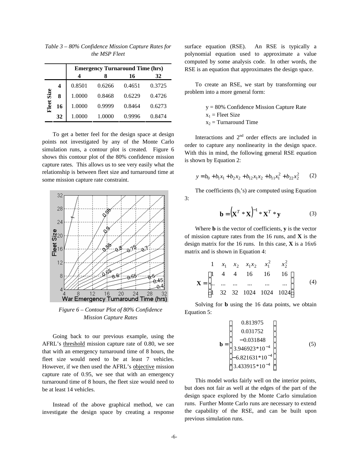|       |    | <b>Emergency Turnaround Time (hrs)</b> |        |        |        |  |  |
|-------|----|----------------------------------------|--------|--------|--------|--|--|
|       |    | Δ                                      | x      | 16     | 32     |  |  |
| Size  |    | 0.8501                                 | 0.6266 | 0.4651 | 0.3725 |  |  |
|       | 8  | 1.0000                                 | 0.8468 | 0.6229 | 0.4726 |  |  |
| Fleet | 16 | 1.0000                                 | 0.9999 | 0.8464 | 0.6273 |  |  |
|       | 32 | 1.0000                                 | 1.0000 | 0.9996 | 0.8474 |  |  |

*Table 3 – 80% Confidence Mission Capture Rates for the MSP Fleet*

To get a better feel for the design space at design points not investigated by any of the Monte Carlo simulation runs, a contour plot is created. Figure 6 shows this contour plot of the 80% confidence mission capture rates. This allows us to see very easily what the relationship is between fleet size and turnaround time at some mission capture rate constraint.



*Figure 6 – Contour Plot of 80% Confidence Mission Capture Rates*

Going back to our previous example, using the AFRL's threshold mission capture rate of 0.80, we see that with an emergency turnaround time of 8 hours, the fleet size would need to be at least 7 vehicles. However, if we then used the AFRL's objective mission capture rate of 0.95, we see that with an emergency turnaround time of 8 hours, the fleet size would need to be at least 14 vehicles.

Instead of the above graphical method, we can investigate the design space by creating a response surface equation (RSE). An RSE is typically a polynomial equation used to approximate a value computed by some analysis code. In other words, the RSE is an equation that approximates the design space.

To create an RSE, we start by transforming our problem into a more general form:

> y = 80% Confidence Mission Capture Rate  $x_1$  = Fleet Size  $x_2$  = Turnaround Time

Interactions and  $2<sup>nd</sup>$  order effects are included in order to capture any nonlinearity in the design space. With this in mind, the following general RSE equation is shown by Equation 2:

$$
y = b_0 + b_1 x_1 + b_2 x_2 + b_{12} x_1 x_2 + b_{11} x_1^2 + b_{22} x_2^2 \tag{2}
$$

The coefficients  $(b_i's)$  are computed using Equation 3:

$$
\mathbf{b} = \left(\mathbf{X}^T \ast \mathbf{X}\right)^{-1} \ast \mathbf{X}^T \ast \mathbf{y}
$$
 (3)

Where **b** is the vector of coefficients, **y** is the vector of mission capture rates from the 16 runs, and **X** is the design matrix for the 16 runs. In this case, **X** is a 16x6 matrix and is shown in Equation 4:

$$
\mathbf{X} = \begin{bmatrix} 1 & x_1 & x_2 & x_1x_2 & x_1^2 & x_2^2 \\ 1 & 4 & 4 & 16 & 16 & 16 \\ \dots & \dots & \dots & \dots & \dots & \dots \\ 1 & 32 & 32 & 1024 & 1024 & 1024 \end{bmatrix}
$$
 (4)

Solving for **b** using the 16 data points, we obtain Equation 5:

$$
\mathbf{b} = \begin{bmatrix} 0.813975 \\ 0.031752 \\ -0.031848 \\ 3.946923*10^{-4} \\ -6.821631*10^{-4} \\ 3.433915*10^{-4} \end{bmatrix}
$$
 (5)

This model works fairly well on the interior points, but does not fair as well at the edges of the part of the design space explored by the Monte Carlo simulation runs. Further Monte Carlo runs are necessary to extend the capability of the RSE, and can be built upon previous simulation runs.